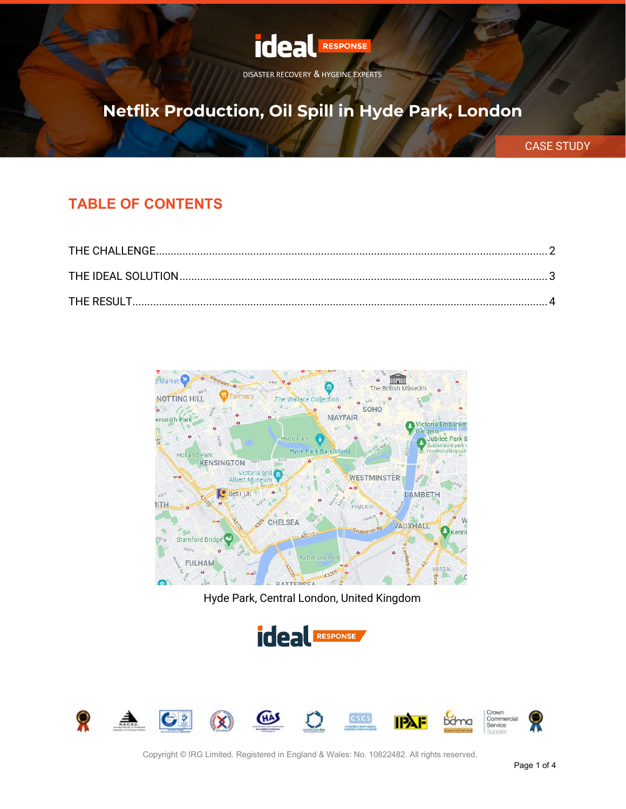

# **Netflix Production, Oil Spill in Hyde Park, London**

CASE STUDY

#### **TABLE OF CONTENTS**



Hyde Park, Central London, United Kingdom





Copyright © IRG Limited. Registered in England & Wales: No. 10822482. All rights reserved.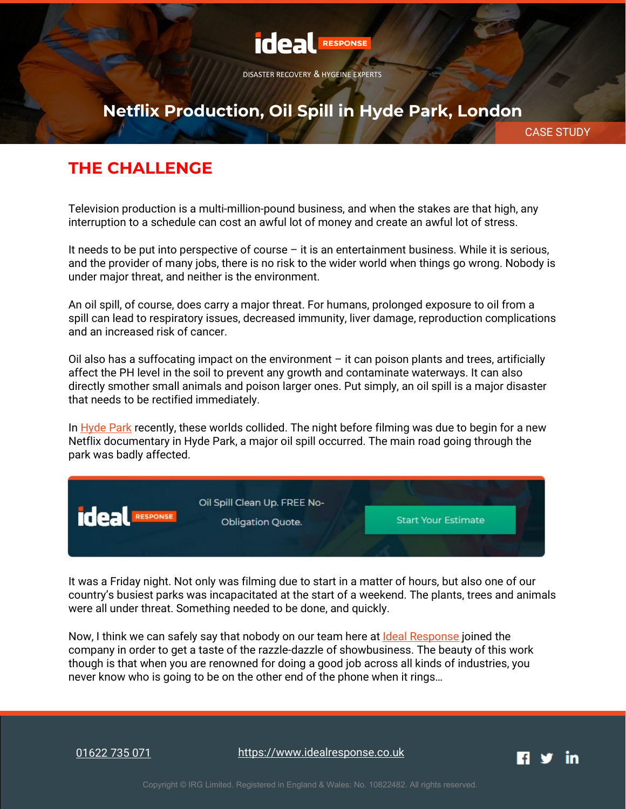

## **Netflix Production, Oil Spill in Hyde Park, London**

CASE STUDY

### <span id="page-1-0"></span>**THE CHALLENGE**

Television production is a multi-million-pound business, and when the stakes are that high, any interruption to a schedule can cost an awful lot of money and create an awful lot of stress.

It needs to be put into perspective of course – it is an entertainment business. While it is serious, and the provider of many jobs, there is no risk to the wider world when things go wrong. Nobody is under major threat, and neither is the environment.

An oil spill, of course, does carry a major threat. For humans, prolonged exposure to oil from a spill can lead to respiratory issues, decreased immunity, liver damage, reproduction complications and an increased risk of cancer.

Oil also has a suffocating impact on the environment – it can poison plants and trees, artificially affect the PH level in the soil to prevent any growth and contaminate waterways. It can also directly smother small animals and poison larger ones. Put simply, an oil spill is a major disaster that needs to be rectified immediately.

In [Hyde Park](https://www.google.com/maps/place/Hyde+Park/@51.5072682,-0.1657303,15z/data=!4m2!3m1!1s0x0:0xd1af6c4f49b4bd0c?sa=X) recently, these worlds collided. The night before filming was due to begin for a new Netflix documentary in Hyde Park, a major oil spill occurred. The main road going through the park was badly affected.



It was a Friday night. Not only was filming due to start in a matter of hours, but also one of our country's busiest parks was incapacitated at the start of a weekend. The plants, trees and animals were all under threat. Something needed to be done, and quickly.

Now, I think we can safely say that nobody on our team here at [Ideal Response](https://www.idealresponse.co.uk/?utm_source=pdf&utm_medium=text&utm_campaign=case_study) joined the company in order to get a taste of the razzle-dazzle of showbusiness. The beauty of this work though is that when you are renowned for doing a good job across all kinds of industries, you never know who is going to be on the other end of the phone when it rings…

[01622 735 071](tel:01622735071)

[https://www.idealresponse.co.uk](https://www.idealresponse.co.uk/?utm_source=pdf&utm_medium=footer&utm_campaign=case_study)

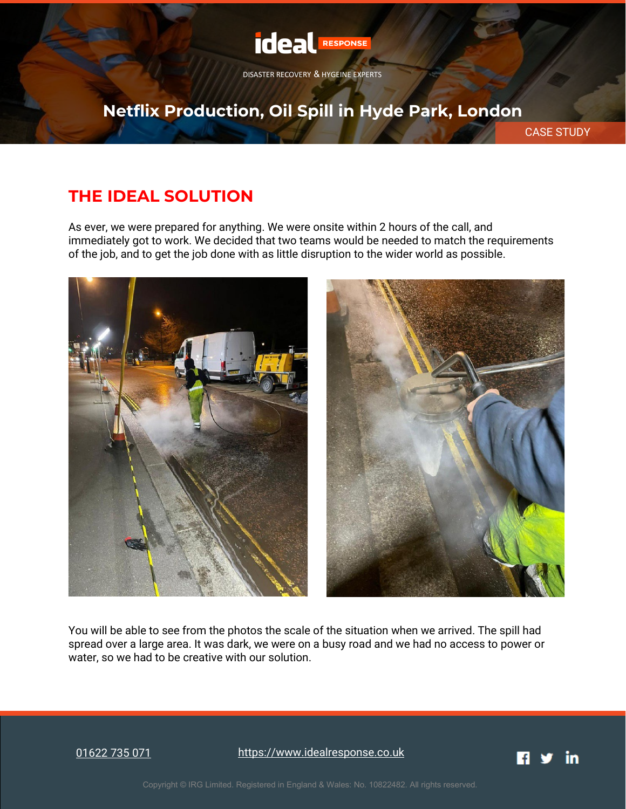

# **Netflix Production, Oil Spill in Hyde Park, London**

CASE STUDY

### <span id="page-2-0"></span>**THE IDEAL SOLUTION**

As ever, we were prepared for anything. We were onsite within 2 hours of the call, and immediately got to work. We decided that two teams would be needed to match the requirements of the job, and to get the job done with as little disruption to the wider world as possible.



You will be able to see from the photos the scale of the situation when we arrived. The spill had spread over a large area. It was dark, we were on a busy road and we had no access to power or water, so we had to be creative with our solution.

[01622 735 071](tel:01622735071)

[https://www.idealresponse.co.uk](https://www.idealresponse.co.uk/?utm_source=pdf&utm_medium=footer&utm_campaign=case_study)

in